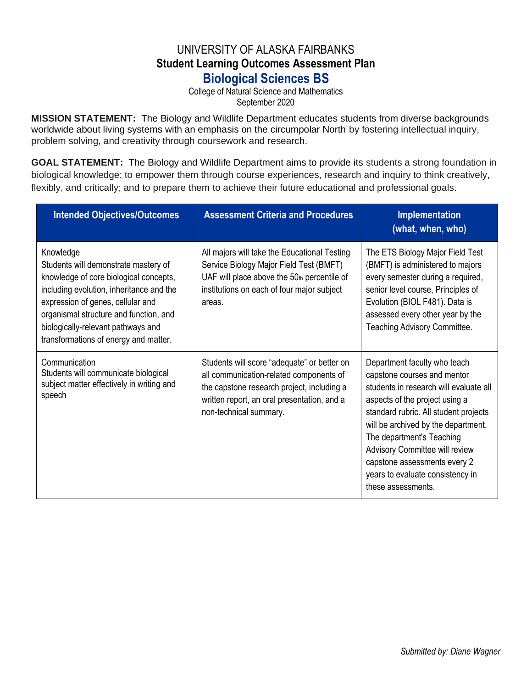## UNIVERSITY OF ALASKA FAIRBANKS **Student Learning Outcomes Assessment Plan Biological Sciences BS**

College of Natural Science and Mathematics September 2020

**MISSION STATEMENT:** The Biology and Wildlife Department educates students from diverse backgrounds worldwide about living systems with an emphasis on the circumpolar North by fostering intellectual inquiry, problem solving, and creativity through coursework and research.

**GOAL STATEMENT:** The Biology and Wildlife Department aims to provide its students a strong foundation in biological knowledge; to empower them through course experiences, research and inquiry to think creatively, flexibly, and critically; and to prepare them to achieve their future educational and professional goals.

| <b>Intended Objectives/Outcomes</b>                                                                                                                                                                                                                                                                   | <b>Assessment Criteria and Procedures</b>                                                                                                                                                                     | Implementation<br>(what, when, who)                                                                                                                                                                                                                                                                                                                                              |
|-------------------------------------------------------------------------------------------------------------------------------------------------------------------------------------------------------------------------------------------------------------------------------------------------------|---------------------------------------------------------------------------------------------------------------------------------------------------------------------------------------------------------------|----------------------------------------------------------------------------------------------------------------------------------------------------------------------------------------------------------------------------------------------------------------------------------------------------------------------------------------------------------------------------------|
| Knowledge<br>Students will demonstrate mastery of<br>knowledge of core biological concepts,<br>including evolution, inheritance and the<br>expression of genes, cellular and<br>organismal structure and function, and<br>biologically-relevant pathways and<br>transformations of energy and matter. | All majors will take the Educational Testing<br>Service Biology Major Field Test (BMFT)<br>UAF will place above the $50th$ percentile of<br>institutions on each of four major subject<br>areas.              | The ETS Biology Major Field Test<br>(BMFT) is administered to majors<br>every semester during a required,<br>senior level course, Principles of<br>Evolution (BIOL F481). Data is<br>assessed every other year by the<br>Teaching Advisory Committee.                                                                                                                            |
| Communication<br>Students will communicate biological<br>subject matter effectively in writing and<br>speech                                                                                                                                                                                          | Students will score "adequate" or better on<br>all communication-related components of<br>the capstone research project, including a<br>written report, an oral presentation, and a<br>non-technical summary. | Department faculty who teach<br>capstone courses and mentor<br>students in research will evaluate all<br>aspects of the project using a<br>standard rubric. All student projects<br>will be archived by the department.<br>The department's Teaching<br>Advisory Committee will review<br>capstone assessments every 2<br>years to evaluate consistency in<br>these assessments. |